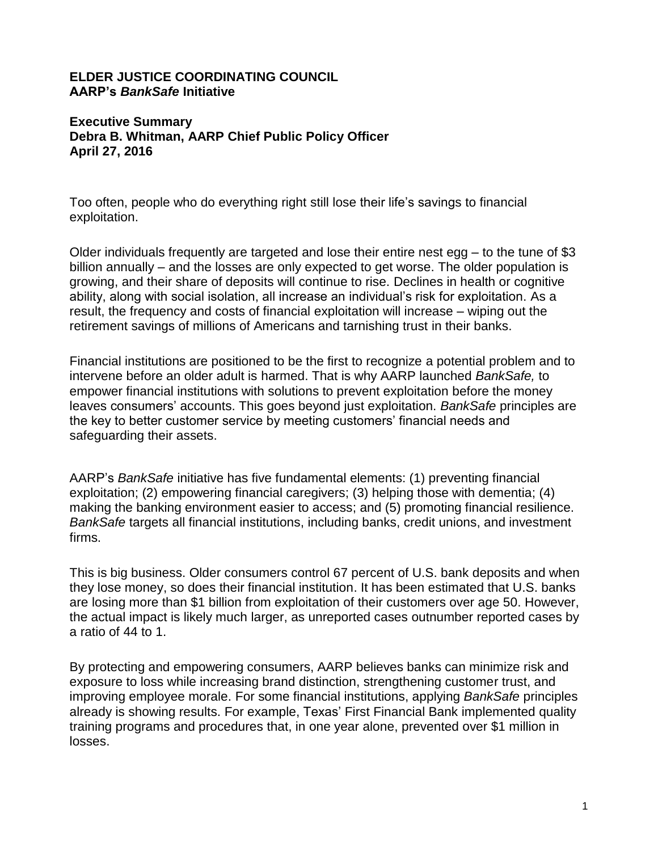## **ELDER JUSTICE COORDINATING COUNCIL AARP's** *BankSafe* **Initiative**

## **Executive Summary Debra B. Whitman, AARP Chief Public Policy Officer April 27, 2016**

Too often, people who do everything right still lose their life's savings to financial exploitation.

Older individuals frequently are targeted and lose their entire nest egg – to the tune of \$3 billion annually – and the losses are only expected to get worse. The older population is growing, and their share of deposits will continue to rise. Declines in health or cognitive ability, along with social isolation, all increase an individual's risk for exploitation. As a result, the frequency and costs of financial exploitation will increase – wiping out the retirement savings of millions of Americans and tarnishing trust in their banks.

Financial institutions are positioned to be the first to recognize a potential problem and to intervene before an older adult is harmed. That is why AARP launched *BankSafe,* to empower financial institutions with solutions to prevent exploitation before the money leaves consumers' accounts. This goes beyond just exploitation. *BankSafe* principles are the key to better customer service by meeting customers' financial needs and safeguarding their assets.

AARP's *BankSafe* initiative has five fundamental elements: (1) preventing financial exploitation; (2) empowering financial caregivers; (3) helping those with dementia; (4) making the banking environment easier to access; and (5) promoting financial resilience. *BankSafe* targets all financial institutions, including banks, credit unions, and investment firms.

This is big business. Older consumers control 67 percent of U.S. bank deposits and when they lose money, so does their financial institution. It has been estimated that U.S. banks are losing more than \$1 billion from exploitation of their customers over age 50. However, the actual impact is likely much larger, as unreported cases outnumber reported cases by a ratio of 44 to 1.

By protecting and empowering consumers, AARP believes banks can minimize risk and exposure to loss while increasing brand distinction, strengthening customer trust, and improving employee morale. For some financial institutions, applying *BankSafe* principles already is showing results. For example, Texas' First Financial Bank implemented quality training programs and procedures that, in one year alone, prevented over \$1 million in losses.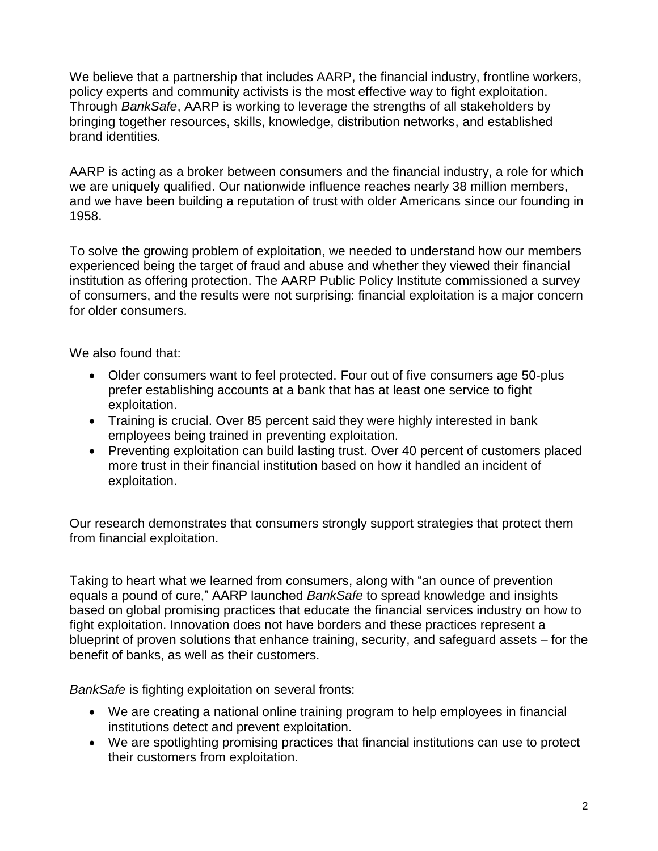We believe that a partnership that includes AARP, the financial industry, frontline workers, policy experts and community activists is the most effective way to fight exploitation. Through *BankSafe*, AARP is working to leverage the strengths of all stakeholders by bringing together resources, skills, knowledge, distribution networks, and established brand identities.

AARP is acting as a broker between consumers and the financial industry, a role for which we are uniquely qualified. Our nationwide influence reaches nearly 38 million members, and we have been building a reputation of trust with older Americans since our founding in 1958.

To solve the growing problem of exploitation, we needed to understand how our members experienced being the target of fraud and abuse and whether they viewed their financial institution as offering protection. The AARP Public Policy Institute commissioned a survey of consumers, and the results were not surprising: financial exploitation is a major concern for older consumers.

We also found that:

- Older consumers want to feel protected. Four out of five consumers age 50-plus prefer establishing accounts at a bank that has at least one service to fight exploitation.
- Training is crucial. Over 85 percent said they were highly interested in bank employees being trained in preventing exploitation.
- Preventing exploitation can build lasting trust. Over 40 percent of customers placed more trust in their financial institution based on how it handled an incident of exploitation.

Our research demonstrates that consumers strongly support strategies that protect them from financial exploitation.

Taking to heart what we learned from consumers, along with "an ounce of prevention equals a pound of cure," AARP launched *BankSafe* to spread knowledge and insights based on global promising practices that educate the financial services industry on how to fight exploitation. Innovation does not have borders and these practices represent a blueprint of proven solutions that enhance training, security, and safeguard assets – for the benefit of banks, as well as their customers.

*BankSafe* is fighting exploitation on several fronts:

- We are creating a national online training program to help employees in financial institutions detect and prevent exploitation.
- We are spotlighting promising practices that financial institutions can use to protect their customers from exploitation.